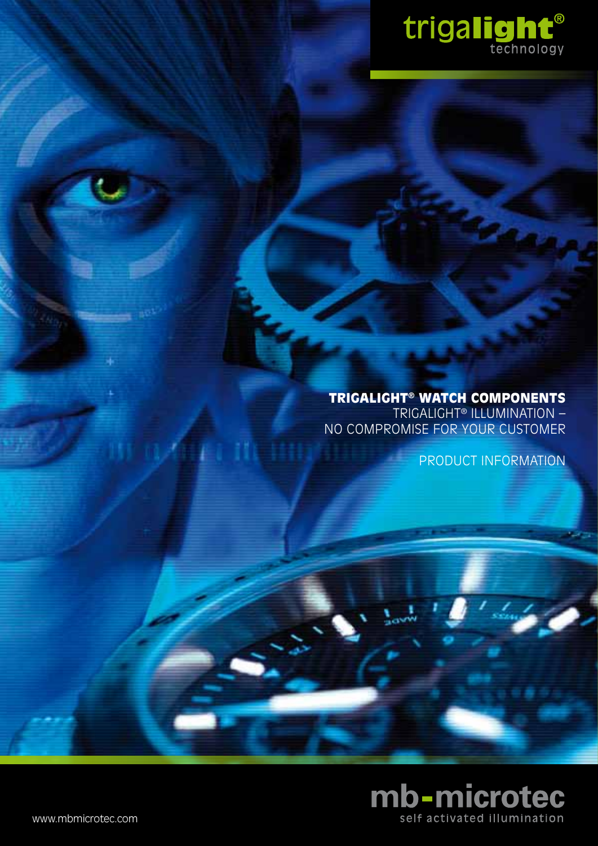

# trigalight® watch components Trigalight® illumination –

no compromise for your customer

product information

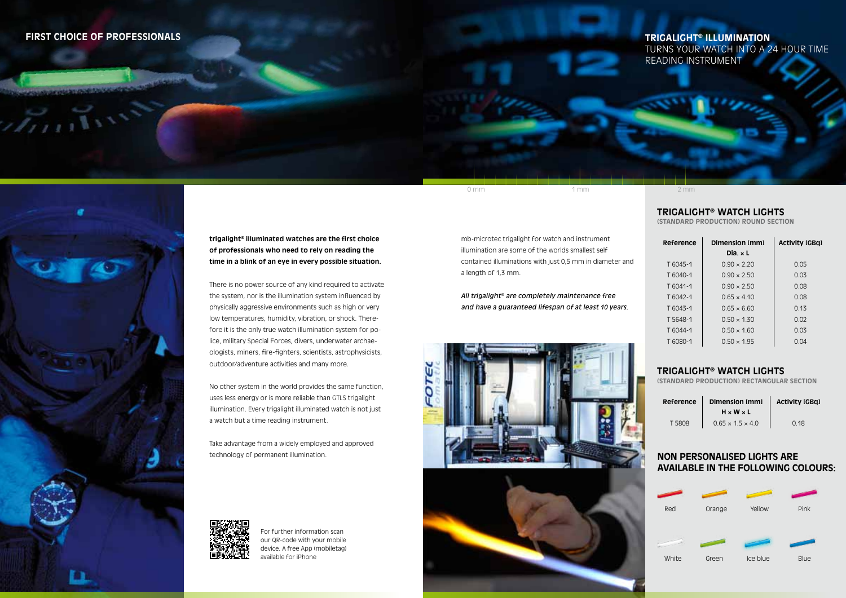### **trigalight® illuminated watches are the first choice of professionals who need to rely on reading the time in a blink of an eye in every possible situation.**

There is no power source of any kind required to activate the system, nor is the illumination system influenced by physically aggressive environments such as high or very low temperatures, humidity, vibration, or shock. Therefore it is the only true watch illumination system for police, military Special Forces, divers, underwater archaeologists, miners, fire-fighters, scientists, astrophysicists, outdoor/adventure activities and many more.

No other system in the world provides the same function, uses less energy or is more reliable than GTLS trigalight illumination. Every trigalight illuminated watch is not just a watch but a time reading instrument.

**Reference Dimension [mm] H × W × L**  $T 5808$  0.65 × 1.5 × 4.0 0.18

Take advantage from a widely employed and approved technology of permanent illumination.



### **trigalight® watch lights**

**(standard production) round section**

- 
- 
- 
- 
- 
- $T 6043 1$  0.65  $\times$  6.60
- 
- 
- 
- 

### **Dimension [mm] Dia. × L**  $T 6045 - 1$  0.90  $\times 2.20$  $T 6040-1$  0.90  $\times 2.50$  $T 6041 - 1$  0.90  $\times 2.50$  $T 6042 - 1$  0.65  $\times$  4.10

 $T 5648-1$  0.50  $\times$  1.30  $T 6044-1$  0.50  $\times$  1.60  $T 6080 - 1$  0.50  $\times$  1.95

# **Activity [GBq]**

| 0.05 |
|------|
| 0.03 |
| 0.08 |
| 0.08 |
| 0.13 |
| 0.02 |
| 0.03 |
| 0.04 |

0 mm 1 mm 2 mm

## **first choice of professionals trigalight® illumination**

 $11111$ 



# turns your watch into a 24 hour time reading instrument

For further information scan our QR-code with your mobile device. A free App (mobiletag) available for iPhone

## **trigalight® watch lights**

**(standard production) Rectangular section**

**Activity [GBq]**

mb-microtec trigalight for watch and instrument illumination are some of the worlds smallest self contained illuminations with just 0,5 mm in diameter and a length of 1,3 mm.

*All trigalight*® *are completely maintenance free and have a guaranteed lifespan of at least 10 years.*



# **Non personalised lights are available in the following colours:**

| Red   | Orange | Yellow   | Pink        |
|-------|--------|----------|-------------|
|       |        |          |             |
|       |        |          |             |
| White | Green  | Ice blue | <b>Blue</b> |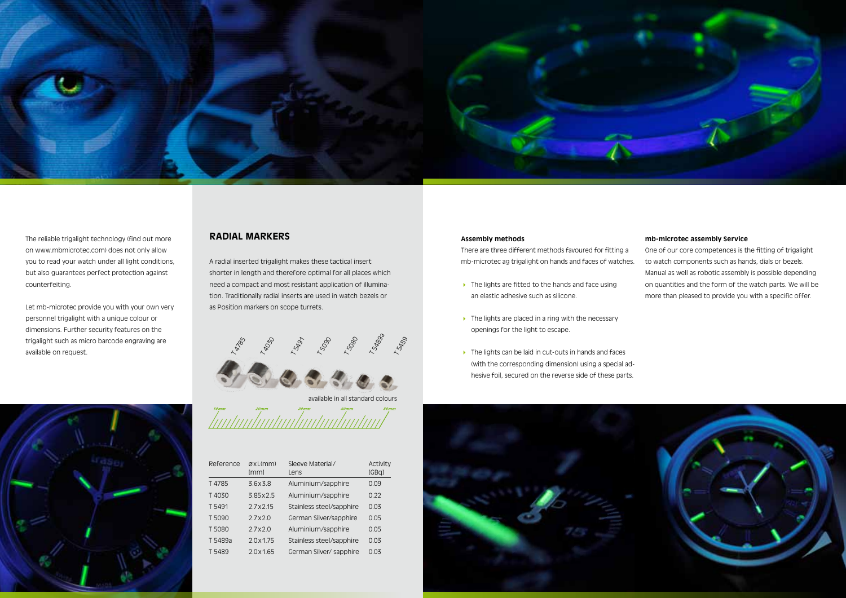#### **Assembly methods**

- 
- $\blacktriangleright$  The lights are placed in a ring with the necessary openings for the light to escape.
- ▶ The lights can be laid in cut-outs in hands and faces (with the corresponding dimension) using a special adhesive foil, secured on the reverse side of these parts.



### **radial markers**

A radial inserted trigalight makes these tactical insert shorter in length and therefore optimal for all places which need a compact and most resistant application of illumination. Traditionally radial inserts are used in watch bezels or as Position markers on scope turrets.





There are three different methods favoured for fitting a mb-microtec ag trigalight on hands and faces of watches.  $\triangleright$  The lights are fitted to the hands and face using an elastic adhesive such as silicone. One of our core competences is the fitting of trigalight to watch components such as hands, dials or bezels. Manual as well as robotic assembly is possible depending on quantities and the form of the watch parts. We will be more than pleased to provide you with a specific offer.

| Reference | QXL(mm)<br>[mm] | Sleeve Material/<br>Lens | Activity<br>[GBq] |
|-----------|-----------------|--------------------------|-------------------|
| T4785     | 3.6x3.8         | Aluminium/sapphire       | 0.09              |
| T4030     | 3.85 x 2.5      | Aluminium/sapphire       | 0.22              |
| T 5491    | 2.7 x 2.15      | Stainless steel/sapphire | 0.03              |
| T 5090    | 2.7x2.0         | German Silver/sapphire   | 0.05              |
| T 5080    | 2.7x2.0         | Aluminium/sapphire       | 0.05              |
| T 5489a   | 2.0x1.75        | Stainless steel/sapphire | 0.03              |
| T 5489    | 2.0x1.65        | German Silver/ sapphire  | 0.03              |



The reliable trigalight technology (find out more on www.mbmicrotec.com) does not only allow you to read your watch under all light conditions, but also guarantees perfect protection against counterfeiting.

Let mb-microtec provide you with your own very personnel trigalight with a unique colour or dimensions. Further security features on the trigalight such as micro barcode engraving are available on request.



#### **mb-microtec assembly Service**

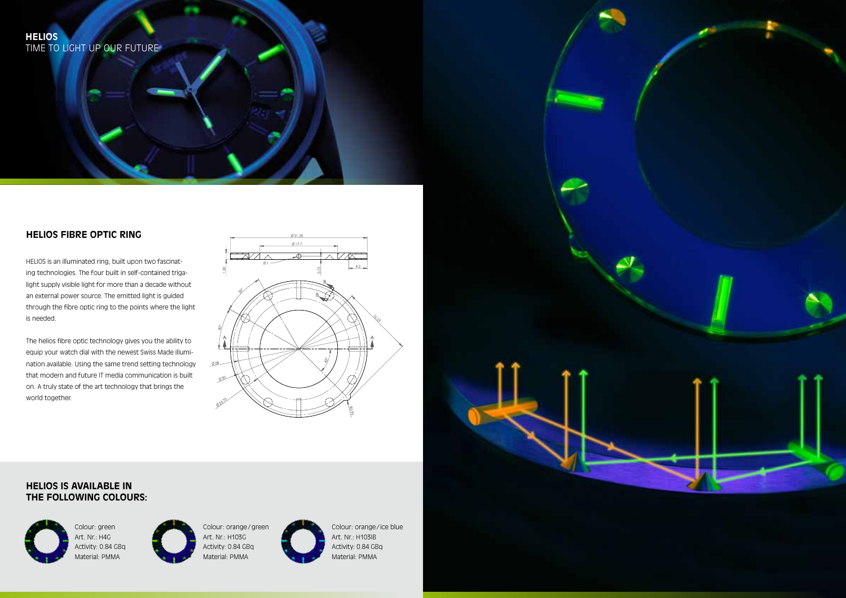# **Helios Fibre Optic Ring**

HELIOS is an illuminated ring, built upon two fascinating technologies. The four built in self-contained trigalight supply visible light for more than a decade without an external power source. The emitted light is guided through the fibre optic ring to the points where the light is needed.

The helios fibre optic technology gives you the ability to equip your watch dial with the newest Swiss Made illumination available. Using the same trend setting technology that modern and future IT media communication is built on. A truly state of the art technology that brings the world together.



Colour: green Art. Nr.: H4G Activity: 0.84 GBq Material: PMMA



Colour: orange/green Art. Nr.: H103G Activity: 0.84 GBq Material: PMMA



Colour: orange/ ice blue Art. Nr.: H103IB Activity: 0.84 GBq Material: PMMA



# **Helios is available in the following colours:**

# **Helios** Time to light up our future